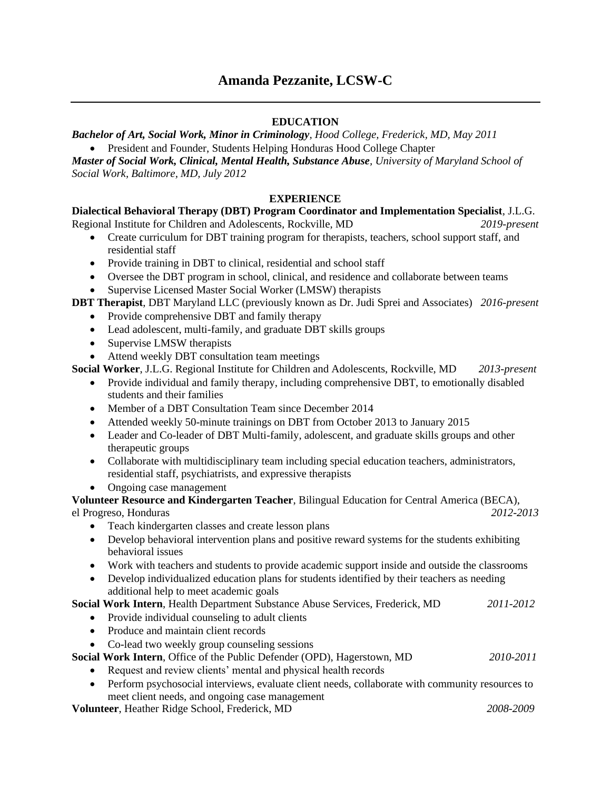# **Amanda Pezzanite, LCSW-C**

## **EDUCATION**

*Bachelor of Art, Social Work, Minor in Criminology, Hood College, Frederick, MD, May 2011* • President and Founder, Students Helping Honduras Hood College Chapter

*Master of Social Work, Clinical, Mental Health, Substance Abuse, University of Maryland School of Social Work, Baltimore, MD, July 2012*

# **EXPERIENCE**

**Dialectical Behavioral Therapy (DBT) Program Coordinator and Implementation Specialist**, J.L.G.

Regional Institute for Children and Adolescents, Rockville, MD *2019-present*

- Create curriculum for DBT training program for therapists, teachers, school support staff, and residential staff
- Provide training in DBT to clinical, residential and school staff
- Oversee the DBT program in school, clinical, and residence and collaborate between teams
- Supervise Licensed Master Social Worker (LMSW) therapists

**DBT Therapist**, DBT Maryland LLC (previously known as Dr. Judi Sprei and Associates) *2016-present*

- Provide comprehensive DBT and family therapy
- Lead adolescent, multi-family, and graduate DBT skills groups
- Supervise LMSW therapists
- Attend weekly DBT consultation team meetings

**Social Worker**, J.L.G. Regional Institute for Children and Adolescents, Rockville, MD *2013-present*

- Provide individual and family therapy, including comprehensive DBT, to emotionally disabled students and their families
- Member of a DBT Consultation Team since December 2014
- Attended weekly 50-minute trainings on DBT from October 2013 to January 2015
- Leader and Co-leader of DBT Multi-family, adolescent, and graduate skills groups and other therapeutic groups
- Collaborate with multidisciplinary team including special education teachers, administrators, residential staff, psychiatrists, and expressive therapists
- Ongoing case management

**Volunteer Resource and Kindergarten Teacher**, Bilingual Education for Central America (BECA), el Progreso, Honduras *2012-2013*

- Teach kindergarten classes and create lesson plans
- Develop behavioral intervention plans and positive reward systems for the students exhibiting behavioral issues
- Work with teachers and students to provide academic support inside and outside the classrooms
- Develop individualized education plans for students identified by their teachers as needing additional help to meet academic goals

## **Social Work Intern**, Health Department Substance Abuse Services, Frederick, MD *2011-2012*

- Provide individual counseling to adult clients
- Produce and maintain client records
- Co-lead two weekly group counseling sessions

**Social Work Intern**, Office of the Public Defender (OPD), Hagerstown, MD *2010-2011*

- Request and review clients' mental and physical health records
- Perform psychosocial interviews, evaluate client needs, collaborate with community resources to meet client needs, and ongoing case management

**Volunteer**, Heather Ridge School, Frederick, MD *2008-2009*